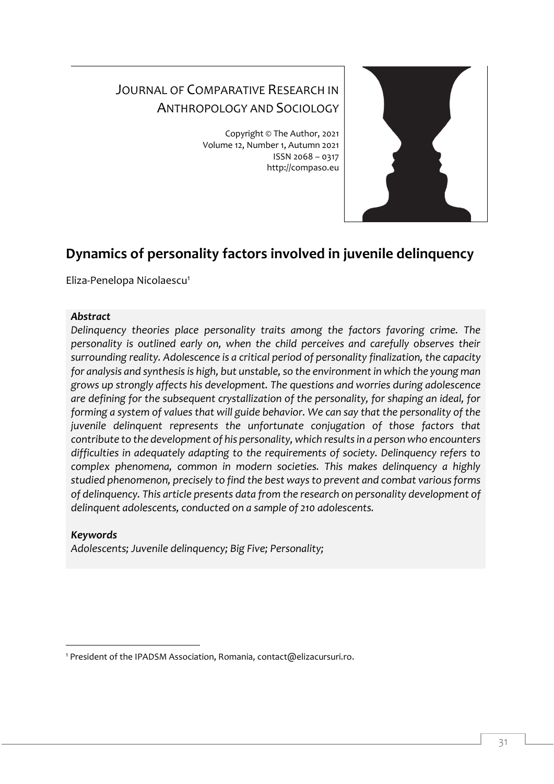# JOURNAL OF COMPARATIVE RESEARCH IN ANTHROPOLOGY AND SOCIOLOGY

Copyright © The Author, 2021 Volume 12, Number 1, Autumn 2021 ISSN 2068 – 0317 http://compaso.eu



## **Dynamics of personality factors involved in juvenile delinquency**

Eliza-Penelopa Nicolaescu<sup>1</sup>

#### *Abstract*

*Delinquency theories place personality traits among the factors favoring crime. The personality is outlined early on, when the child perceives and carefully observes their surrounding reality. Adolescence is a critical period of personality finalization, the capacity for analysis and synthesis is high, but unstable, so the environment in which the young man grows up strongly affects his development. The questions and worries during adolescence are defining for the subsequent crystallization of the personality, for shaping an ideal, for forming a system of values that will guide behavior. We can say that the personality of the juvenile delinquent represents the unfortunate conjugation of those factors that contribute to the development of his personality, which results in a person who encounters difficulties in adequately adapting to the requirements of society. Delinquency refers to complex phenomena, common in modern societies. This makes delinquency a highly studied phenomenon, precisely to find the best ways to prevent and combat various forms of delinquency. This article presents data from the research on personality development of delinquent adolescents, conducted on a sample of 210 adolescents.*

### *Keywords*

*Adolescents; Juvenile delinquency; Big Five; Personality;*

<sup>&</sup>lt;sup>1</sup> President of the IPADSM Association, Romania, contact@elizacursuri.ro.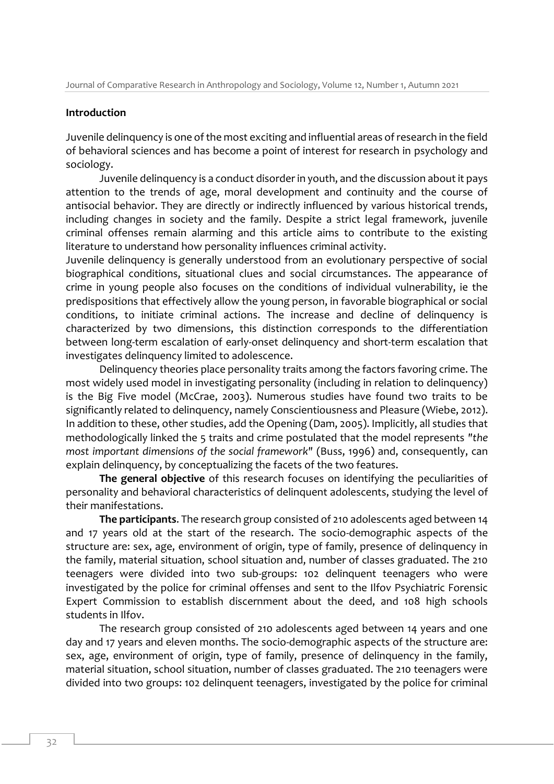#### **Introduction**

Juvenile delinquency is one of the most exciting and influential areas of research in the field of behavioral sciences and has become a point of interest for research in psychology and sociology.

Juvenile delinquency is a conduct disorder in youth, and the discussion about it pays attention to the trends of age, moral development and continuity and the course of antisocial behavior. They are directly or indirectly influenced by various historical trends, including changes in society and the family. Despite a strict legal framework, juvenile criminal offenses remain alarming and this article aims to contribute to the existing literature to understand how personality influences criminal activity.

Juvenile delinquency is generally understood from an evolutionary perspective of social biographical conditions, situational clues and social circumstances. The appearance of crime in young people also focuses on the conditions of individual vulnerability, ie the predispositions that effectively allow the young person, in favorable biographical or social conditions, to initiate criminal actions. The increase and decline of delinquency is characterized by two dimensions, this distinction corresponds to the differentiation between long-term escalation of early-onset delinquency and short-term escalation that investigates delinquency limited to adolescence.

Delinquency theories place personality traits among the factors favoring crime. The most widely used model in investigating personality (including in relation to delinquency) is the Big Five model (McCrae, 2003). Numerous studies have found two traits to be significantly related to delinquency, namely Conscientiousness and Pleasure (Wiebe, 2012). In addition to these, other studies, add the Opening (Dam, 2005). Implicitly, all studies that methodologically linked the 5 traits and crime postulated that the model represents *"the most important dimensions of the social framework"* (Buss, 1996) and, consequently, can explain delinquency, by conceptualizing the facets of the two features.

**The general objective** of this research focuses on identifying the peculiarities of personality and behavioral characteristics of delinquent adolescents, studying the level of their manifestations.

**The participants**. The research group consisted of 210 adolescents aged between 14 and 17 years old at the start of the research. The socio-demographic aspects of the structure are: sex, age, environment of origin, type of family, presence of delinquency in the family, material situation, school situation and, number of classes graduated. The 210 teenagers were divided into two sub-groups: 102 delinquent teenagers who were investigated by the police for criminal offenses and sent to the Ilfov Psychiatric Forensic Expert Commission to establish discernment about the deed, and 108 high schools students in Ilfov.

The research group consisted of 210 adolescents aged between 14 years and one day and 17 years and eleven months. The socio-demographic aspects of the structure are: sex, age, environment of origin, type of family, presence of delinquency in the family, material situation, school situation, number of classes graduated. The 210 teenagers were divided into two groups: 102 delinquent teenagers, investigated by the police for criminal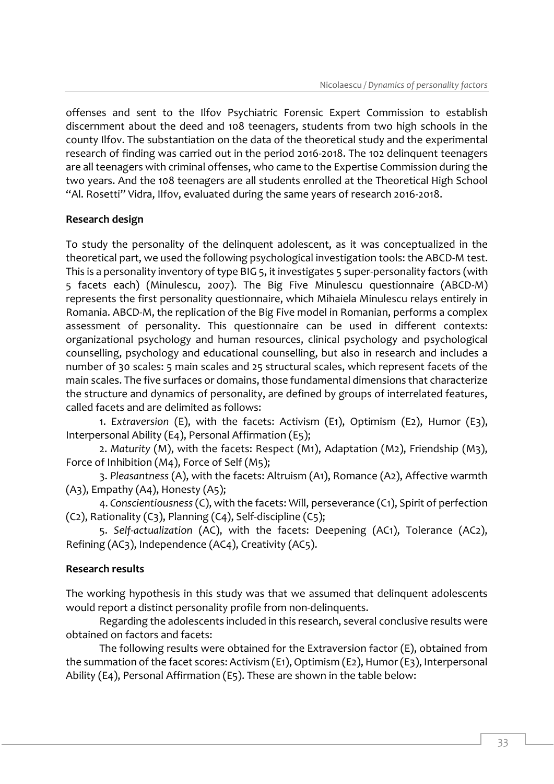offenses and sent to the Ilfov Psychiatric Forensic Expert Commission to establish discernment about the deed and 108 teenagers, students from two high schools in the county Ilfov. The substantiation on the data of the theoretical study and the experimental research of finding was carried out in the period 2016-2018. The 102 delinquent teenagers are all teenagers with criminal offenses, who came to the Expertise Commission during the two years. And the 108 teenagers are all students enrolled at the Theoretical High School "Al. Rosetti" Vidra, Ilfov, evaluated during the same years of research 2016-2018.

#### **Research design**

To study the personality of the delinquent adolescent, as it was conceptualized in the theoretical part, we used the following psychological investigation tools: the ABCD-M test. This is a personality inventory of type BIG 5, it investigates 5 super-personality factors (with 5 facets each) (Minulescu, 2007). The Big Five Minulescu questionnaire (ABCD-M) represents the first personality questionnaire, which Mihaiela Minulescu relays entirely in Romania. ABCD-M, the replication of the Big Five model in Romanian, performs a complex assessment of personality. This questionnaire can be used in different contexts: organizational psychology and human resources, clinical psychology and psychological counselling, psychology and educational counselling, but also in research and includes a number of 30 scales: 5 main scales and 25 structural scales, which represent facets of the main scales. The five surfaces or domains, those fundamental dimensions that characterize the structure and dynamics of personality, are defined by groups of interrelated features, called facets and are delimited as follows:

1. *Extraversion* (E), with the facets: Activism (E1), Optimism (E2), Humor (E3), Interpersonal Ability (E4), Personal Affirmation (E5);

2. *Maturity* (M), with the facets: Respect (M1), Adaptation (M2), Friendship (M3), Force of Inhibition (M4), Force of Self (M5);

3. *Pleasantness* (A), with the facets: Altruism (A1), Romance (A2), Affective warmth  $(A_3)$ , Empathy  $(A_4)$ , Honesty  $(A_5)$ ;

4. *Conscientiousness*(C), with the facets: Will, perseverance (C1), Spirit of perfection  $(C_2)$ , Rationality  $(C_3)$ , Planning  $(C_4)$ , Self-discipline  $(C_5)$ ;

5. *Self-actualization* (AC), with the facets: Deepening (AC1), Tolerance (AC2), Refining (AC3), Independence (AC4), Creativity (AC5).

#### **Research results**

The working hypothesis in this study was that we assumed that delinquent adolescents would report a distinct personality profile from non-delinquents.

Regarding the adolescents included in this research, several conclusive results were obtained on factors and facets:

The following results were obtained for the Extraversion factor (E), obtained from the summation of the facet scores: Activism (E1), Optimism (E2), Humor (E3), Interpersonal Ability (E4), Personal Affirmation (E5). These are shown in the table below: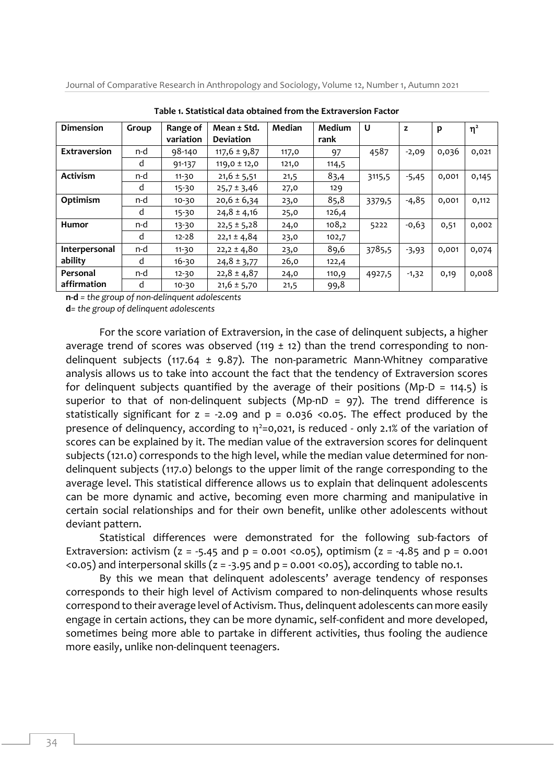Journal of Comparative Research in Anthropology and Sociology, Volume 12, Number 1, Autumn 2021

| <b>Dimension</b>     | Group | Range of<br>variation | Mean ± Std.<br><b>Deviation</b> | Median | Medium<br>rank | U      | z       | p     | $\eta^2$ |
|----------------------|-------|-----------------------|---------------------------------|--------|----------------|--------|---------|-------|----------|
| <b>Extraversion</b>  | n-d   | 98-140                | $117,6 \pm 9,87$                | 117,0  | 97             | 4587   | $-2,09$ | 0,036 | 0,021    |
|                      | d     | 91-137                | $119,0 \pm 12,0$                | 121,0  | 114,5          |        |         |       |          |
| <b>Activism</b>      | n-d   | $11-30$               | $21,6 \pm 5,51$                 | 21,5   | 83,4           | 3115,5 | $-5,45$ | 0,001 | 0,145    |
|                      | d     | $15 - 30$             | $25,7 \pm 3,46$                 | 27,0   | 129            |        |         |       |          |
| Optimism             | n-d   | $10-30$               | $20,6 \pm 6,34$                 | 23,0   | 85,8           | 3379,5 | $-4,85$ | 0,001 | 0,112    |
|                      | d     | $15 - 30$             | $24,8 \pm 4,16$                 | 25,0   | 126,4          |        |         |       |          |
| <b>Humor</b>         | n-d   | 13-30                 | $22,5 \pm 5,28$                 | 24,0   | 108,2          | 5222   | $-0,63$ | 0,51  | 0,002    |
|                      | d     | $12 - 28$             | $22,1 \pm 4,84$                 | 23,0   | 102,7          |        |         |       |          |
| <b>Interpersonal</b> | n-d   | $11 - 30$             | $22,2 \pm 4,80$                 | 23,0   | 89,6           | 3785,5 | $-3,93$ | 0,001 | 0,074    |
| ability              | d     | $16 - 30$             | $24,8 \pm 3,77$                 | 26,0   | 122,4          |        |         |       |          |
| Personal             | n-d   | $12 - 30$             | $22,8 \pm 4,87$                 | 24,0   | 110,9          | 4927,5 | $-1,32$ | 0,19  | 0,008    |
| affirmation          | d     | $10-30$               | $21,6 \pm 5,70$                 | 21,5   | 99,8           |        |         |       |          |

**Table 1. Statistical data obtained from the Extraversion Factor**

**n-d** *= the group of non-delinquent adolescents* 

**d***= the group of delinquent adolescents*

For the score variation of Extraversion, in the case of delinquent subjects, a higher average trend of scores was observed (119  $\pm$  12) than the trend corresponding to nondelinquent subjects (117.64  $\pm$  9.87). The non-parametric Mann-Whitney comparative analysis allows us to take into account the fact that the tendency of Extraversion scores for delinquent subjects quantified by the average of their positions (Mp-D = 114.5) is superior to that of non-delinquent subjects (Mp-nD = 97). The trend difference is statistically significant for  $z = -2.09$  and  $p = 0.036$  <0.05. The effect produced by the presence of delinquency, according to  $\eta^2$ =0,021, is reduced - only 2.1% of the variation of scores can be explained by it. The median value of the extraversion scores for delinquent subjects (121.0) corresponds to the high level, while the median value determined for nondelinquent subjects (117.0) belongs to the upper limit of the range corresponding to the average level. This statistical difference allows us to explain that delinquent adolescents can be more dynamic and active, becoming even more charming and manipulative in certain social relationships and for their own benefit, unlike other adolescents without deviant pattern.

Statistical differences were demonstrated for the following sub-factors of Extraversion: activism ( $z = -5.45$  and  $p = 0.001$  <0.05), optimism ( $z = -4.85$  and  $p = 0.001$  $(0.05)$  and interpersonal skills ( $z = -3.95$  and  $p = 0.001 \le 0.05$ ), according to table no.1.

By this we mean that delinquent adolescents' average tendency of responses corresponds to their high level of Activism compared to non-delinquents whose results correspond to their average level of Activism. Thus, delinquent adolescents can more easily engage in certain actions, they can be more dynamic, self-confident and more developed, sometimes being more able to partake in different activities, thus fooling the audience more easily, unlike non-delinquent teenagers.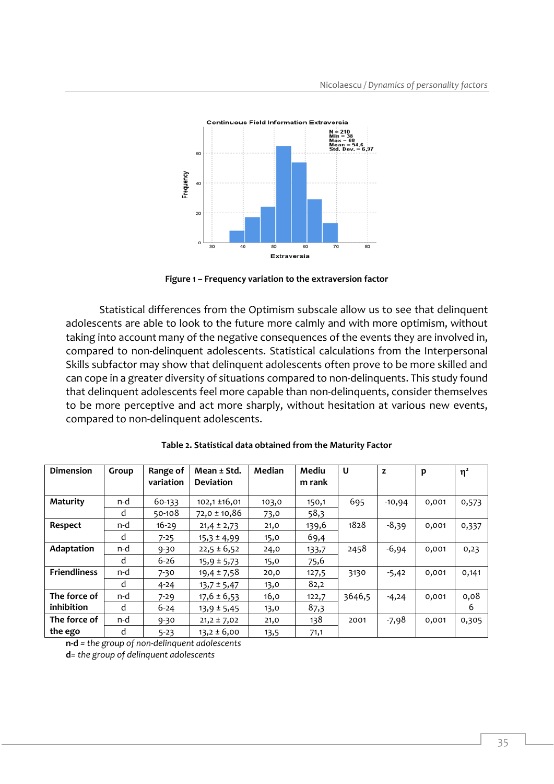

**Figure 1 – Frequency variation to the extraversion factor**

Statistical differences from the Optimism subscale allow us to see that delinquent adolescents are able to look to the future more calmly and with more optimism, without taking into account many of the negative consequences of the events they are involved in, compared to non-delinquent adolescents. Statistical calculations from the Interpersonal Skills subfactor may show that delinquent adolescents often prove to be more skilled and can cope in a greater diversity of situations compared to non-delinquents. This study found that delinquent adolescents feel more capable than non-delinquents, consider themselves to be more perceptive and act more sharply, without hesitation at various new events, compared to non-delinquent adolescents.

| Dimension           | Group | Range of<br>variation | Mean ± Std.<br><b>Deviation</b> | Median | Mediu<br>m rank | U      | z        | p     | $\eta^2$ |
|---------------------|-------|-----------------------|---------------------------------|--------|-----------------|--------|----------|-------|----------|
| <b>Maturity</b>     | n-d   | 60-133                | $102,1 \pm 16,01$               |        |                 |        |          |       |          |
|                     |       |                       |                                 | 103,0  | 150,1           | 695    | $-10,94$ | 0,001 | 0,573    |
|                     | d     | 50-108                | $72,0 \pm 10,86$                | 73,0   | 58,3            |        |          |       |          |
| Respect             | n-d   | $16 - 29$             | $21,4 \pm 2,73$                 | 21,0   | 139,6           | 1828   | $-8,39$  | 0,001 | 0,337    |
|                     | d     | $7 - 25$              | $15,3 \pm 4,99$                 | 15,0   | 69,4            |        |          |       |          |
| Adaptation          | n-d   | $9 - 30$              | $22,5 \pm 6,52$                 | 24,0   | 133,7           | 2458   | $-6,94$  | 0,001 | 0,23     |
|                     | d     | $6 - 26$              | $15,9 \pm 5,73$                 | 15,0   | 75,6            |        |          |       |          |
| <b>Friendliness</b> | n-d   | $7 - 30$              | $19,4 \pm 7,58$                 | 20,0   | 127,5           | 3130   | $-5,42$  | 0,001 | 0,141    |
|                     | d     | $4 - 24$              | $13,7 \pm 5,47$                 | 13,0   | 82,2            |        |          |       |          |
| The force of        | n-d   | $7 - 29$              | $17,6 \pm 6,53$                 | 16,0   | 122,7           | 3646,5 | $-4,24$  | 0,001 | 0,08     |
| inhibition          | d     | $6 - 24$              | $13,9 \pm 5,45$                 | 13,0   | 87,3            |        |          |       | 6        |
| The force of        | n-d   | $9 - 30$              | $21,2 \pm 7,02$                 | 21,0   | 138             | 2001   | $-7,98$  | 0,001 | 0,305    |
| the ego             | d     | $5 - 23$              | $13,2 \pm 6,00$                 | 13,5   | 71,1            |        |          |       |          |

| Table 2. Statistical data obtained from the Maturity Factor |  |  |  |  |
|-------------------------------------------------------------|--|--|--|--|
|-------------------------------------------------------------|--|--|--|--|

**n-d** *= the group of non-delinquent adolescents*  **d***= the group of delinquent adolescents*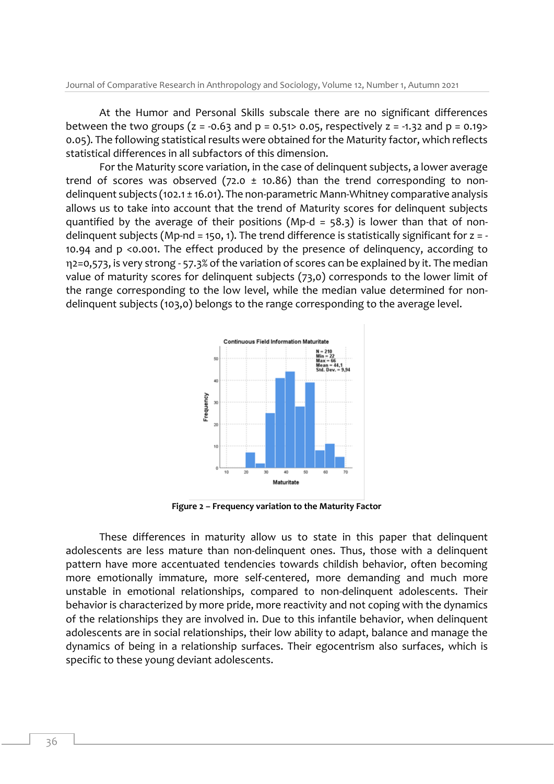At the Humor and Personal Skills subscale there are no significant differences between the two groups ( $z = -0.63$  and  $p = 0.51$  and  $p = 0.65$ , respectively  $z = -1.32$  and  $p = 0.19$ 0.05). The following statistical results were obtained for the Maturity factor, which reflects statistical differences in all subfactors of this dimension.

For the Maturity score variation, in the case of delinquent subjects, a lower average trend of scores was observed (72.0  $\pm$  10.86) than the trend corresponding to nondelinquent subjects (102.1 ± 16.01). The non-parametric Mann-Whitney comparative analysis allows us to take into account that the trend of Maturity scores for delinquent subjects quantified by the average of their positions (Mp-d =  $58.3$ ) is lower than that of nondelinquent subjects (Mp-nd = 150, 1). The trend difference is statistically significant for  $z = -$ 10.94 and p <0.001. The effect produced by the presence of delinquency, according to 2=0,573, is very strong - 57.3% of the variation of scores can be explained by it. The median value of maturity scores for delinquent subjects (73,0) corresponds to the lower limit of the range corresponding to the low level, while the median value determined for nondelinquent subjects (103,0) belongs to the range corresponding to the average level.



**Figure 2 – Frequency variation to the Maturity Factor**

These differences in maturity allow us to state in this paper that delinquent adolescents are less mature than non-delinquent ones. Thus, those with a delinquent pattern have more accentuated tendencies towards childish behavior, often becoming more emotionally immature, more self-centered, more demanding and much more unstable in emotional relationships, compared to non-delinquent adolescents. Their behavior is characterized by more pride, more reactivity and not coping with the dynamics of the relationships they are involved in. Due to this infantile behavior, when delinquent adolescents are in social relationships, their low ability to adapt, balance and manage the dynamics of being in a relationship surfaces. Their egocentrism also surfaces, which is specific to these young deviant adolescents.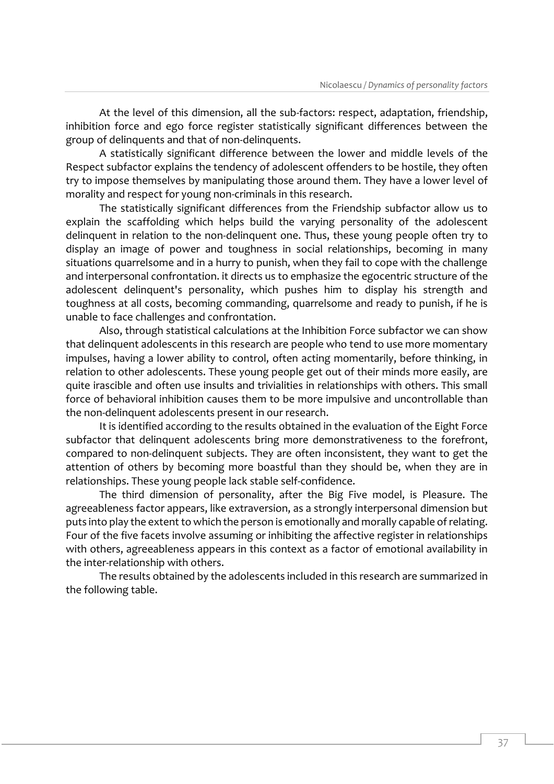At the level of this dimension, all the sub-factors: respect, adaptation, friendship, inhibition force and ego force register statistically significant differences between the group of delinquents and that of non-delinquents.

A statistically significant difference between the lower and middle levels of the Respect subfactor explains the tendency of adolescent offenders to be hostile, they often try to impose themselves by manipulating those around them. They have a lower level of morality and respect for young non-criminals in this research.

The statistically significant differences from the Friendship subfactor allow us to explain the scaffolding which helps build the varying personality of the adolescent delinquent in relation to the non-delinquent one. Thus, these young people often try to display an image of power and toughness in social relationships, becoming in many situations quarrelsome and in a hurry to punish, when they fail to cope with the challenge and interpersonal confrontation. it directs us to emphasize the egocentric structure of the adolescent delinquent's personality, which pushes him to display his strength and toughness at all costs, becoming commanding, quarrelsome and ready to punish, if he is unable to face challenges and confrontation.

Also, through statistical calculations at the Inhibition Force subfactor we can show that delinquent adolescents in this research are people who tend to use more momentary impulses, having a lower ability to control, often acting momentarily, before thinking, in relation to other adolescents. These young people get out of their minds more easily, are quite irascible and often use insults and trivialities in relationships with others. This small force of behavioral inhibition causes them to be more impulsive and uncontrollable than the non-delinquent adolescents present in our research.

It is identified according to the results obtained in the evaluation of the Eight Force subfactor that delinquent adolescents bring more demonstrativeness to the forefront, compared to non-delinquent subjects. They are often inconsistent, they want to get the attention of others by becoming more boastful than they should be, when they are in relationships. These young people lack stable self-confidence.

The third dimension of personality, after the Big Five model, is Pleasure. The agreeableness factor appears, like extraversion, as a strongly interpersonal dimension but puts into play the extent to which the person is emotionally and morally capable of relating. Four of the five facets involve assuming or inhibiting the affective register in relationships with others, agreeableness appears in this context as a factor of emotional availability in the inter-relationship with others.

The results obtained by the adolescents included in this research are summarized in the following table.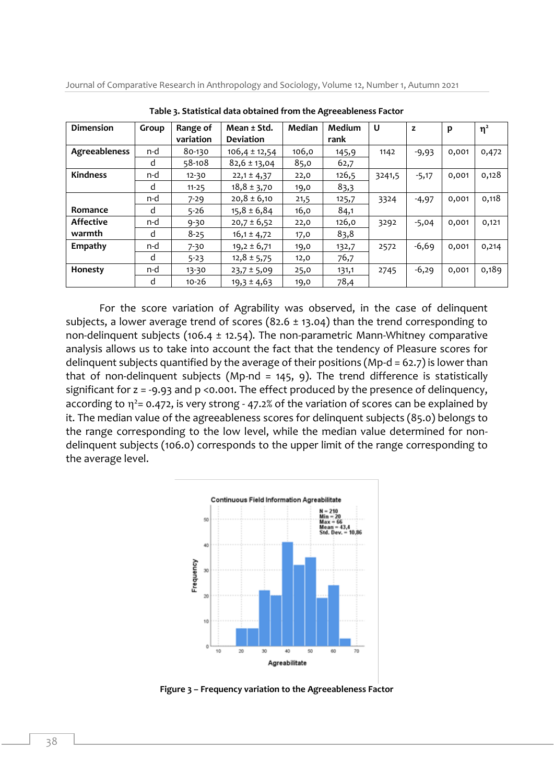Journal of Comparative Research in Anthropology and Sociology, Volume 12, Number 1, Autumn 2021

| <b>Dimension</b> | Group | Range of<br>variation | Mean ± Std.<br><b>Deviation</b> | Median | Medium<br>rank | U      | z       | p     | $\eta^2$ |
|------------------|-------|-----------------------|---------------------------------|--------|----------------|--------|---------|-------|----------|
| Agreeableness    | n-d   | 80-130                | $106,4 \pm 12,54$               | 106,0  | 145,9          | 1142   | $-9,93$ | 0,001 | 0,472    |
|                  | d     | $58 - 108$            | $82,6 \pm 13,04$                | 85,0   | 62,7           |        |         |       |          |
| <b>Kindness</b>  | n-d   | $12 - 30$             | $22,1 \pm 4,37$                 | 22,0   | 126,5          | 3241,5 | $-5,17$ | 0,001 | 0,128    |
|                  | d     | $11 - 25$             | $18,8 \pm 3,70$                 | 19,0   | 83,3           |        |         |       |          |
|                  | n-d   | $7 - 29$              | $20,8 \pm 6,10$                 | 21,5   | 125,7          | 3324   | $-4,97$ | 0,001 | 0,118    |
| Romance          | d     | $5-26$                | $15,8 \pm 6,84$                 | 16,0   | 84,1           |        |         |       |          |
| <b>Affective</b> | n-d   | $9 - 30$              | $20,7 \pm 6,52$                 | 22,0   | 126,0          | 3292   | $-5,04$ | 0,001 | 0,121    |
| warmth           | d     | $8 - 25$              | $16,1 \pm 4,72$                 | 17,0   | 83,8           |        |         |       |          |
| Empathy          | n-d   | $7 - 30$              | $19,2 \pm 6,71$                 | 19,0   | 132,7          | 2572   | $-6,69$ | 0,001 | 0,214    |
|                  | d     | $5 - 23$              | $12,8 \pm 5,75$                 | 12,0   | 76,7           |        |         |       |          |
| Honesty          | n-d   | 13-30                 | $23,7 \pm 5,09$                 | 25,0   | 131,1          | 2745   | $-6,29$ | 0,001 | 0,189    |
|                  | d     | $10 - 26$             | $19,3 \pm 4,63$                 | 19,0   | 78,4           |        |         |       |          |

**Table 3. Statistical data obtained from the Agreeableness Factor**

For the score variation of Agrability was observed, in the case of delinquent subjects, a lower average trend of scores (82.6  $\pm$  13.04) than the trend corresponding to non-delinquent subjects (106.4  $\pm$  12.54). The non-parametric Mann-Whitney comparative analysis allows us to take into account the fact that the tendency of Pleasure scores for delinquent subjects quantified by the average of their positions (Mp-d = 62.7) is lower than that of non-delinquent subjects (Mp-nd = 145, 9). The trend difference is statistically significant for z = -9.93 and p <0.001. The effect produced by the presence of delinquency, according to  $\eta^2$ = 0.472, is very strong - 47.2% of the variation of scores can be explained by it. The median value of the agreeableness scores for delinquent subjects (85.0) belongs to the range corresponding to the low level, while the median value determined for nondelinquent subjects (106.0) corresponds to the upper limit of the range corresponding to the average level.



**Figure 3 – Frequency variation to the Agreeableness Factor**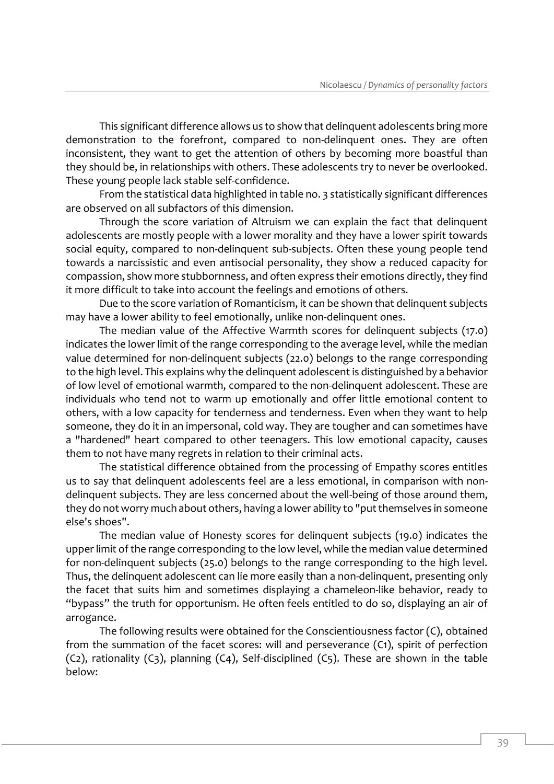This significant difference allows us to show that delinquent adolescents bring more demonstration to the forefront, compared to non-delinquent ones. They are often inconsistent, they want to get the attention of others by becoming more boastful than they should be, in relationships with others. These adolescents try to never be overlooked. These young people lack stable self-confidence.

From the statistical data highlighted in table no. 3 statistically significant differences are observed on all subfactors of this dimension.

Through the score variation of Altruism we can explain the fact that delinquent adolescents are mostly people with a lower morality and they have a lower spirit towards social equity, compared to non-delinquent sub-subjects. Often these young people tend towards a narcissistic and even antisocial personality, they show a reduced capacity for compassion, show more stubbornness, and often express their emotions directly, they find it more difficult to take into account the feelings and emotions of others.

Due to the score variation of Romanticism, it can be shown that delinquent subjects may have a lower ability to feel emotionally, unlike non-delinquent ones.

The median value of the Affective Warmth scores for delinquent subjects (17.0) indicates the lower limit of the range corresponding to the average level, while the median value determined for non-delinquent subjects (22.0) belongs to the range corresponding to the high level. This explains why the delinquent adolescent is distinguished by a behavior of low level of emotional warmth, compared to the non-delinquent adolescent. These are individuals who tend not to warm up emotionally and offer little emotional content to others, with a low capacity for tenderness and tenderness. Even when they want to help someone, they do it in an impersonal, cold way. They are tougher and can sometimes have a "hardened" heart compared to other teenagers. This low emotional capacity, causes them to not have many regrets in relation to their criminal acts.

The statistical difference obtained from the processing of Empathy scores entitles us to say that delinquent adolescents feel are a less emotional, in comparison with nondelinquent subjects. They are less concerned about the well-being of those around them, they do not worry much about others, having a lower ability to "put themselves in someone else's shoes".

The median value of Honesty scores for delinquent subjects (19.0) indicates the upper limit of the range corresponding to the low level, while the median value determined for non-delinquent subjects (25.0) belongs to the range corresponding to the high level. Thus, the delinquent adolescent can lie more easily than a non-delinquent, presenting only the facet that suits him and sometimes displaying a chameleon-like behavior, ready to "bypass" the truth for opportunism. He often feels entitled to do so, displaying an air of arrogance.

The following results were obtained for the Conscientiousness factor (C), obtained from the summation of the facet scores: will and perseverance (C1), spirit of perfection (C2), rationality (C3), planning (C4), Self-disciplined (C5). These are shown in the table below: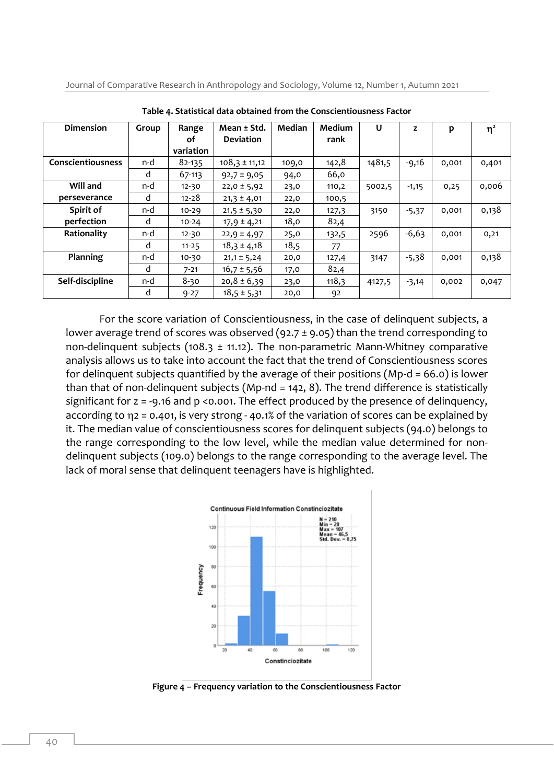Journal of Comparative Research in Anthropology and Sociology, Volume 12, Number 1, Autumn 2021

| <b>Dimension</b>  | Group | Range     | Mean ± Std.       | Median | Medium | U      | z       | p     | $\eta^2$ |
|-------------------|-------|-----------|-------------------|--------|--------|--------|---------|-------|----------|
|                   |       | оf        | <b>Deviation</b>  |        | rank   |        |         |       |          |
|                   |       | variation |                   |        |        |        |         |       |          |
| Conscientiousness | n-d   | 82-135    | $108,3 \pm 11,12$ | 109,0  | 142,8  | 1481,5 | $-9,16$ | 0,001 | 0,401    |
|                   | d     | 67-113    | $92,7 \pm 9,05$   | 94,0   | 66,0   |        |         |       |          |
| Will and          | n-d   | $12 - 30$ | $22,0 \pm 5,92$   | 23,0   | 110,2  | 5002,5 | $-1,15$ | 0,25  | 0,006    |
| perseverance      | d     | $12 - 28$ | $21,3 \pm 4,01$   | 22,0   | 100,5  |        |         |       |          |
| Spirit of         | n-d   | $10 - 29$ | $21,5 \pm 5,30$   | 22,0   | 127,3  | 3150   | $-5,37$ | 0,001 | 0,138    |
| perfection        | d     | $10 - 24$ | $17,9 \pm 4,21$   | 18,0   | 82,4   |        |         |       |          |
| Rationality       | n-d   | $12 - 30$ | $22,9 \pm 4,97$   | 25,0   | 132,5  | 2596   | $-6,63$ | 0,001 | 0,21     |
|                   | d     | $11 - 25$ | $18,3 \pm 4,18$   | 18,5   | 77     |        |         |       |          |
| Planning          | n-d   | $10 - 30$ | $21,1 \pm 5,24$   | 20,0   | 127,4  | 3147   | -5,38   | 0,001 | 0,138    |
|                   | d     | $7 - 21$  | $16,7 \pm 5,56$   | 17,0   | 82,4   |        |         |       |          |
| Self-discipline   | n-d   | 8-30      | $20,8 \pm 6,39$   | 23,0   | 118,3  | 4127,5 | $-3,14$ | 0,002 | 0,047    |
|                   | d     | $9 - 27$  | $18,5 \pm 5,31$   | 20,0   | 92     |        |         |       |          |

**Table 4. Statistical data obtained from the Conscientiousness Factor**

For the score variation of Conscientiousness, in the case of delinquent subjects, a lower average trend of scores was observed (92.7  $\pm$  9.05) than the trend corresponding to non-delinquent subjects (108.3  $\pm$  11.12). The non-parametric Mann-Whitney comparative analysis allows us to take into account the fact that the trend of Conscientiousness scores for delinquent subjects quantified by the average of their positions (Mp-d = 66.0) is lower than that of non-delinquent subjects (Mp-nd = 142, 8). The trend difference is statistically significant for  $z = -9.16$  and  $p \le 0.001$ . The effect produced by the presence of delinquency, according to  $\eta$ 2 = 0.401, is very strong - 40.1% of the variation of scores can be explained by it. The median value of conscientiousness scores for delinquent subjects (94.0) belongs to the range corresponding to the low level, while the median value determined for nondelinquent subjects (109.0) belongs to the range corresponding to the average level. The lack of moral sense that delinquent teenagers have is highlighted.



**Figure 4 – Frequency variation to the Conscientiousness Factor**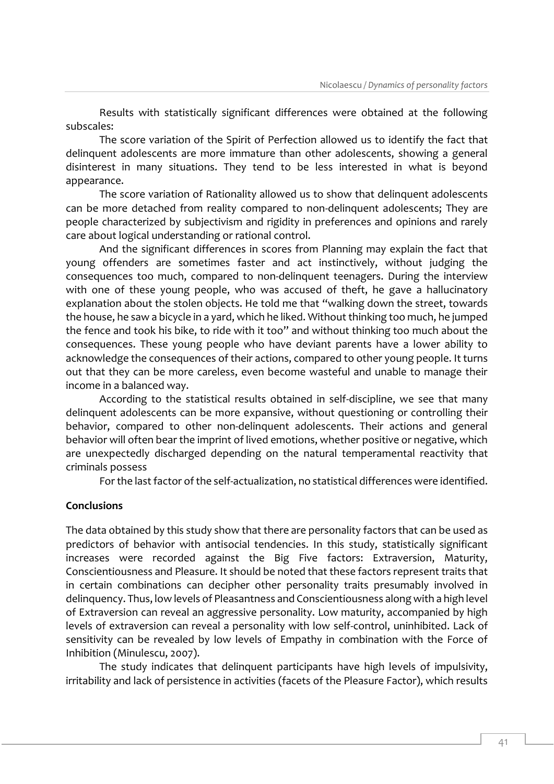Results with statistically significant differences were obtained at the following subscales:

The score variation of the Spirit of Perfection allowed us to identify the fact that delinquent adolescents are more immature than other adolescents, showing a general disinterest in many situations. They tend to be less interested in what is beyond appearance.

The score variation of Rationality allowed us to show that delinquent adolescents can be more detached from reality compared to non-delinquent adolescents; They are people characterized by subjectivism and rigidity in preferences and opinions and rarely care about logical understanding or rational control.

And the significant differences in scores from Planning may explain the fact that young offenders are sometimes faster and act instinctively, without judging the consequences too much, compared to non-delinquent teenagers. During the interview with one of these young people, who was accused of theft, he gave a hallucinatory explanation about the stolen objects. He told me that "walking down the street, towards the house, he saw a bicycle in a yard, which he liked. Without thinking too much, he jumped the fence and took his bike, to ride with it too" and without thinking too much about the consequences. These young people who have deviant parents have a lower ability to acknowledge the consequences of their actions, compared to other young people. It turns out that they can be more careless, even become wasteful and unable to manage their income in a balanced way.

According to the statistical results obtained in self-discipline, we see that many delinquent adolescents can be more expansive, without questioning or controlling their behavior, compared to other non-delinquent adolescents. Their actions and general behavior will often bear the imprint of lived emotions, whether positive or negative, which are unexpectedly discharged depending on the natural temperamental reactivity that criminals possess

For the last factor of the self-actualization, no statistical differences were identified.

#### **Conclusions**

The data obtained by this study show that there are personality factors that can be used as predictors of behavior with antisocial tendencies. In this study, statistically significant increases were recorded against the Big Five factors: Extraversion, Maturity, Conscientiousness and Pleasure. It should be noted that these factors represent traits that in certain combinations can decipher other personality traits presumably involved in delinquency. Thus, low levels of Pleasantness and Conscientiousness along with a high level of Extraversion can reveal an aggressive personality. Low maturity, accompanied by high levels of extraversion can reveal a personality with low self-control, uninhibited. Lack of sensitivity can be revealed by low levels of Empathy in combination with the Force of Inhibition (Minulescu, 2007).

The study indicates that delinquent participants have high levels of impulsivity, irritability and lack of persistence in activities (facets of the Pleasure Factor), which results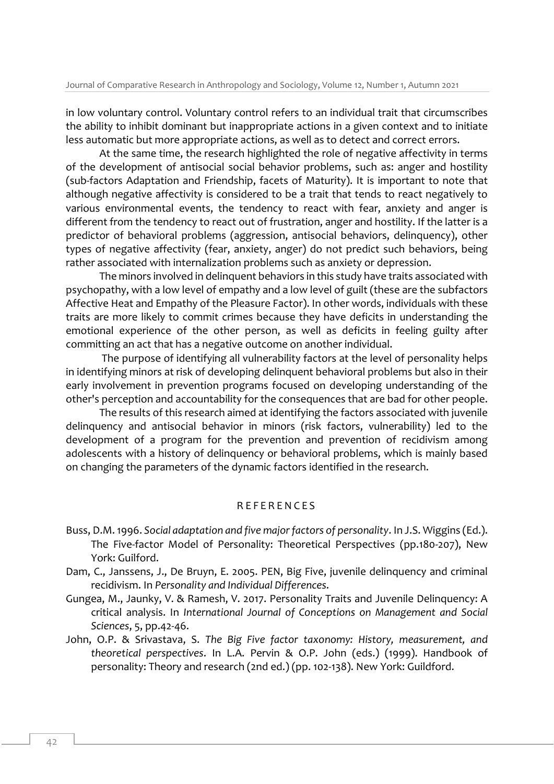in low voluntary control. Voluntary control refers to an individual trait that circumscribes the ability to inhibit dominant but inappropriate actions in a given context and to initiate less automatic but more appropriate actions, as well as to detect and correct errors.

At the same time, the research highlighted the role of negative affectivity in terms of the development of antisocial social behavior problems, such as: anger and hostility (sub-factors Adaptation and Friendship, facets of Maturity). It is important to note that although negative affectivity is considered to be a trait that tends to react negatively to various environmental events, the tendency to react with fear, anxiety and anger is different from the tendency to react out of frustration, anger and hostility. If the latter is a predictor of behavioral problems (aggression, antisocial behaviors, delinquency), other types of negative affectivity (fear, anxiety, anger) do not predict such behaviors, being rather associated with internalization problems such as anxiety or depression.

The minors involved in delinquent behaviors in this study have traits associated with psychopathy, with a low level of empathy and a low level of guilt (these are the subfactors Affective Heat and Empathy of the Pleasure Factor). In other words, individuals with these traits are more likely to commit crimes because they have deficits in understanding the emotional experience of the other person, as well as deficits in feeling guilty after committing an act that has a negative outcome on another individual.

The purpose of identifying all vulnerability factors at the level of personality helps in identifying minors at risk of developing delinquent behavioral problems but also in their early involvement in prevention programs focused on developing understanding of the other's perception and accountability for the consequences that are bad for other people.

The results of this research aimed at identifying the factors associated with juvenile delinquency and antisocial behavior in minors (risk factors, vulnerability) led to the development of a program for the prevention and prevention of recidivism among adolescents with a history of delinquency or behavioral problems, which is mainly based on changing the parameters of the dynamic factors identified in the research.

#### R E F E R E N C E S

- Buss, D.M. 1996. *Social adaptation and five major factors of personality*. In J.S. Wiggins (Ed.). The Five-factor Model of Personality: Theoretical Perspectives (pp.180-207), New York: Guilford.
- Dam, C., Janssens, J., De Bruyn, E. 2005. PEN, Big Five, juvenile delinquency and criminal recidivism. In *Personality and Individual Differences*.
- Gungea, M., Jaunky, V. & Ramesh, V. 2017. Personality Traits and Juvenile Delinquency: A critical analysis. In *International Journal of Conceptions on Management and Social Sciences*, 5, pp.42-46.
- John, O.P. & Srivastava, S. *The Big Five factor taxonomy: History, measurement, and theoretical perspectives*. In L.A. Pervin & O.P. John (eds.) (1999). Handbook of personality: Theory and research (2nd ed.) (pp. 102-138). New York: Guildford.